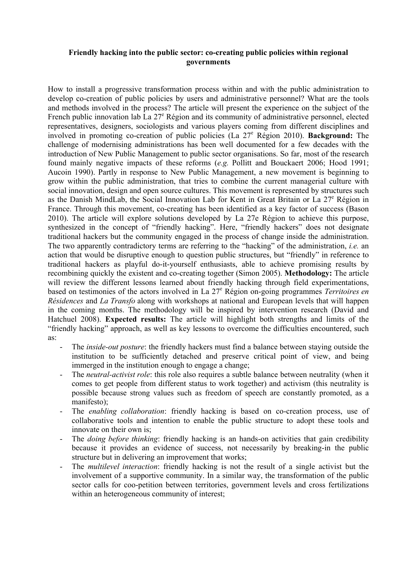## **Friendly hacking into the public sector: co-creating public policies within regional governments**

How to install a progressive transformation process within and with the public administration to develop co-creation of public policies by users and administrative personnel? What are the tools and methods involved in the process? The article will present the experience on the subject of the French public innovation lab La  $27^e$  Région and its community of administrative personnel, elected representatives, designers, sociologists and various players coming from different disciplines and involved in promoting co-creation of public policies (La 27<sup>e</sup> Région 2010). **Background:** The challenge of modernising administrations has been well documented for a few decades with the introduction of New Public Management to public sector organisations. So far, most of the research found mainly negative impacts of these reforms (*e.g.* Pollitt and Bouckaert 2006; Hood 1991; Aucoin 1990). Partly in response to New Public Management, a new movement is beginning to grow within the public administration, that tries to combine the current managerial culture with social innovation, design and open source cultures. This movement is represented by structures such as the Danish MindLab, the Social Innovation Lab for Kent in Great Britain or La  $27^e$  Région in France. Through this movement, co-creating has been identified as a key factor of success (Bason 2010). The article will explore solutions developed by La 27e Région to achieve this purpose, synthesized in the concept of "friendly hacking". Here, "friendly hackers" does not designate traditional hackers but the community engaged in the process of change inside the administration. The two apparently contradictory terms are referring to the "hacking" of the administration, *i.e.* an action that would be disruptive enough to question public structures, but "friendly" in reference to traditional hackers as playful do-it-yourself enthusiasts, able to achieve promising results by recombining quickly the existent and co-creating together (Simon 2005). **Methodology:** The article will review the different lessons learned about friendly hacking through field experimentations, based on testimonies of the actors involved in La 27<sup>e</sup> Région on-going programmes *Territoires en Résidences* and *La Transfo* along with workshops at national and European levels that will happen in the coming months. The methodology will be inspired by intervention research (David and Hatchuel 2008). **Expected results:** The article will highlight both strengths and limits of the "friendly hacking" approach, as well as key lessons to overcome the difficulties encountered, such as:

- The *inside-out posture*: the friendly hackers must find a balance between staying outside the institution to be sufficiently detached and preserve critical point of view, and being immerged in the institution enough to engage a change;
- The *neutral-activist role*: this role also requires a subtle balance between neutrality (when it comes to get people from different status to work together) and activism (this neutrality is possible because strong values such as freedom of speech are constantly promoted, as a manifesto);
- The *enabling collaboration*: friendly hacking is based on co-creation process, use of collaborative tools and intention to enable the public structure to adopt these tools and innovate on their own is;
- The *doing before thinking*: friendly hacking is an hands-on activities that gain credibility because it provides an evidence of success, not necessarily by breaking-in the public structure but in delivering an improvement that works;
- The *multilevel interaction*: friendly hacking is not the result of a single activist but the involvement of a supportive community. In a similar way, the transformation of the public sector calls for coo-petition between territories, government levels and cross fertilizations within an heterogeneous community of interest;